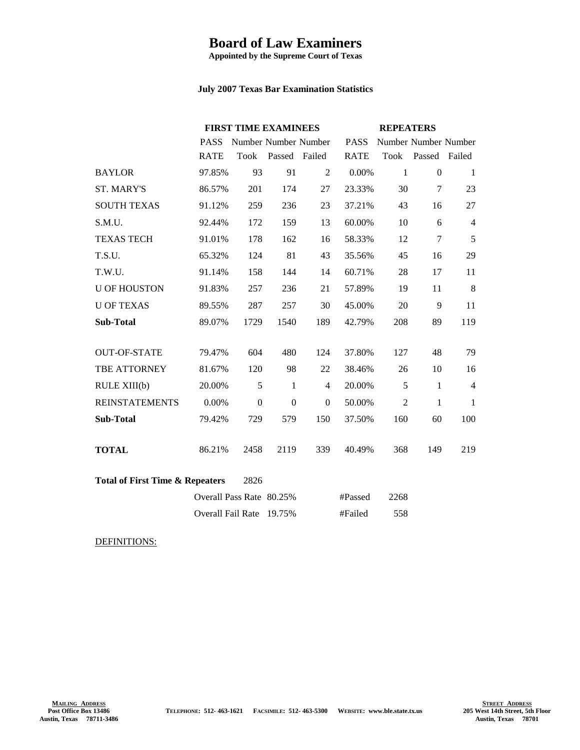## **Board of Law Examiners**

**Appointed by the Supreme Court of Texas**

## **July 2007 Texas Bar Examination Statistics**

|                                                    |                          | <b>FIRST TIME EXAMINEES</b> |               |                  | <b>REPEATERS</b> |                |                      |                |
|----------------------------------------------------|--------------------------|-----------------------------|---------------|------------------|------------------|----------------|----------------------|----------------|
|                                                    | <b>PASS</b>              | Number Number Number        |               |                  | <b>PASS</b>      |                | Number Number Number |                |
|                                                    | <b>RATE</b>              | Took                        | Passed Failed |                  | <b>RATE</b>      | Took           | Passed Failed        |                |
| <b>BAYLOR</b>                                      | 97.85%                   | 93                          | 91            | $\overline{2}$   | 0.00%            | $\mathbf{1}$   | $\boldsymbol{0}$     | $\mathbf{1}$   |
| <b>ST. MARY'S</b>                                  | 86.57%                   | 201                         | 174           | 27               | 23.33%           | 30             | 7                    | 23             |
| <b>SOUTH TEXAS</b>                                 | 91.12%                   | 259                         | 236           | 23               | 37.21%           | 43             | 16                   | 27             |
| S.M.U.                                             | 92.44%                   | 172                         | 159           | 13               | 60.00%           | 10             | 6                    | $\overline{4}$ |
| <b>TEXAS TECH</b>                                  | 91.01%                   | 178                         | 162           | 16               | 58.33%           | 12             | $\overline{7}$       | 5              |
| T.S.U.                                             | 65.32%                   | 124                         | 81            | 43               | 35.56%           | 45             | 16                   | 29             |
| T.W.U.                                             | 91.14%                   | 158                         | 144           | 14               | 60.71%           | 28             | 17                   | 11             |
| <b>U OF HOUSTON</b>                                | 91.83%                   | 257                         | 236           | 21               | 57.89%           | 19             | 11                   | 8              |
| <b>U OF TEXAS</b>                                  | 89.55%                   | 287                         | 257           | 30               | 45.00%           | 20             | 9                    | 11             |
| <b>Sub-Total</b>                                   | 89.07%                   | 1729                        | 1540          | 189              | 42.79%           | 208            | 89                   | 119            |
|                                                    |                          |                             |               |                  |                  |                |                      |                |
| <b>OUT-OF-STATE</b>                                | 79.47%                   | 604                         | 480           | 124              | 37.80%           | 127            | 48                   | 79             |
| <b>TBE ATTORNEY</b>                                | 81.67%                   | 120                         | 98            | 22               | 38.46%           | 26             | 10                   | 16             |
| RULE XIII(b)                                       | 20.00%                   | 5                           | $\mathbf{1}$  | $\overline{4}$   | 20.00%           | 5              | 1                    | $\overline{4}$ |
| <b>REINSTATEMENTS</b>                              | 0.00%                    | $\boldsymbol{0}$            | $\mathbf{0}$  | $\boldsymbol{0}$ | 50.00%           | $\overline{2}$ | $\mathbf{1}$         | $\mathbf{1}$   |
| <b>Sub-Total</b>                                   | 79.42%                   | 729                         | 579           | 150              | 37.50%           | 160            | 60                   | 100            |
|                                                    |                          |                             |               |                  |                  |                |                      |                |
| <b>TOTAL</b>                                       | 86.21%                   | 2458                        | 2119          | 339              | 40.49%           | 368            | 149                  | 219            |
|                                                    |                          |                             |               |                  |                  |                |                      |                |
| <b>Total of First Time &amp; Repeaters</b><br>2826 |                          |                             |               |                  |                  |                |                      |                |
|                                                    | Overall Pass Rate 80.25% |                             |               |                  | #Passed          | 2268           |                      |                |
|                                                    | Overall Fail Rate 19.75% |                             |               |                  | #Failed          | 558            |                      |                |

DEFINITIONS: